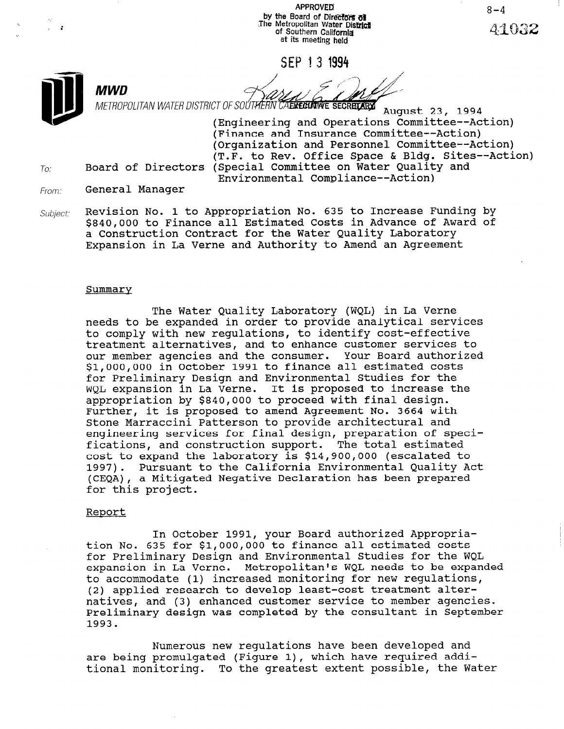APPROVED: by the Board of Directors of The Metropolitan Water Dist of Southern Califomja at its meeting held

SEP 13 1994



 $To:$ 

METROPOLITAN WATER DISTRICT OF SOUTHERN CAENEGIMINE SECRETARY August 23, 1994

(Engineering and Operations Committee--Action) (Finance and Insurance Committee--Action) (Organization and Personnel Committee--Action) (T.F. to Rev. Office Space & Bldg. Sites--Action) Board of Directors (Special Committee on Water Quality and Environmental Compliance--Action)

- From: General Manager
- Revision No. 1 to Appropriation No. 635 to Increase Funding by Subject: \$840,000 to Finance all Estimated Costs in Advance of Award of a Construction Contract for the Water Quality Laboratory Expansion in La Verne and Authority to Amend an Agreement

#### Summary

The Water Quality Laboratory (WQL) in La Verne needs to be expanded in order to provide analytical services to comply with new regulations, to identify cost-effective treatment alternatives, and to enhance customer services to our member agencies and the consumer. Your Board authorized \$l,OOO,OOO in October 1991 to finance all estimated costs for Preliminary Design and Environmental Studies for the WQL expansion in La Verne. It is proposed to increase the appropriation by \$840,000 to proceed with final design. Further, it is proposed to amend Agreement No. 3664 with Stone Marraccini Patterson to provide architectural and engineering services for final design, preparation of specifications, and construction support. The total estimated cost to expand the laboratory is \$14,900,000 (escalated to 1997). Pursuant to the California Environmental Quality Act (CEQA), a Mitigated Negative Declaration has been prepared for this project.

#### Report

In October 1991, your Board authorized Appropriation No. 635 for \$l,OOO,OOO to finance all estimated costs for Preliminary Design and Environmental Studies for the WQL expansion in La Verne. Metropolitan's WQL needs to be expanded and the WQL companished by the WQL needs to be expanded expansion in La Verne. Metropolitan's WQL needs to be expanded<br>to accommodate (1) increased monitoring for new regulations, (0) accommodate (1) increased monitoring for new regulation. natives, and (3) enhanced customer service to member agencies. natives, and (3) enhanced customer service to member agencies. Preliminary design was completed by the consultant in September<br>1993.

Numerous new regulations have been developed and numerous new requiations nave been developed and are being promulgated (Figure 1), which have required addi-<br>tional monitoring. To the greatest extent possible, the Water

 $8 - 4$ A4032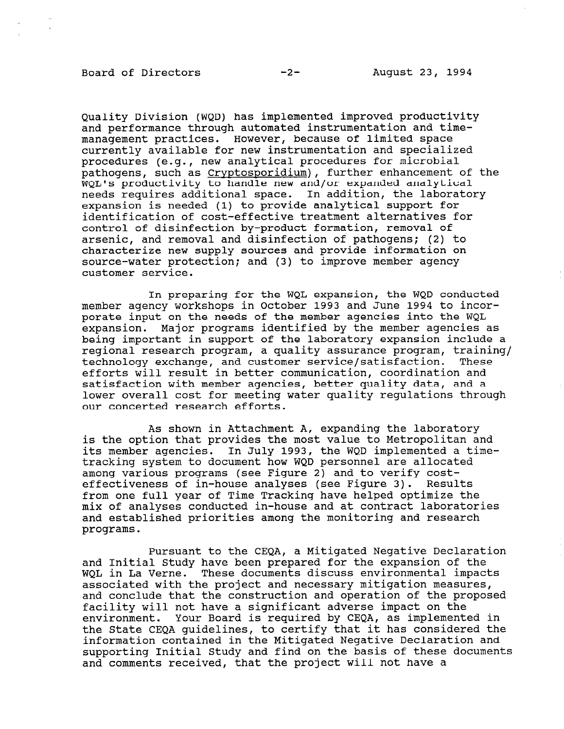## Board of Directors -2- August 23, 1994

Quality Division (WQD) has implemented improved productivity and performance through automated instrumentation and timemanagement practices. However, because of limited space currently available for new instrumentation and specialized procedures (e.g., new analytical procedures for microbial pathogens, such as Cryptosporidium), further enhancement of the WQL's productivity to handle new and/or expanded analytical needs requires additional space. In addition, the laboratory expansion is needed (1) to provide analytical support for identification of cost-effective treatment alternatives for control of disinfection by-product formation, removal of arsenic, and removal and disinfection of pathogens; (2) to characterize new supply sources and provide information on source-water protection; and (3) to improve member agency customer service.

In preparing for the WQL expansion, the WQD conducted member agency workshops in October 1993 and June 1994 to incorporate input on the needs of the member agencies into the WQL expansion. Major programs identified by the member agencies as being important in support of the laboratory expansion include a regional research program, a quality assurance program, training/ technology exchange, and customer service/satisfaction. These efforts will result in better communication, coordination and satisfaction with member agencies, better quality data, and a lower overall cost for meeting water quality regulations through our concerted research efforts.

As shown in Attachment A, expanding the laboratory is the option that provides the most value to Metropolitan and its member agencies. In July 1993, the WQD implemented a timetracking system to document how WQD personnel are allocated among various programs (see Figure 2) and to verify costeffectiveness of in-house analyses (see Figure 3). Results from one full year of Time Tracking have helped optimize the mix of analyses conducted in-house and at contract laboratories and established priorities among the monitoring and research programs.

Pursuant to the CEQA, a Mitigated Negative Declaration rursuant to the thyn, a nitigated negative bettand dio Initial Study have been prepared for the expansion of the associated with the project and necessary mitigation measures, associated with the project and necessary mitigation measures, and conclude that the construction and operation of the proposed facility will not have a significant adverse impact on the environment. Your Board is required by CEQA, as implemented in<br>the State CEOA quidelines, to certify that it has considered the information contained in the Mitigated Negative Declaration and supporting Initial Study and find on the basis of these documents supporting Initial Study and find on the basis of these documents<br>and comments received, that the project will not have a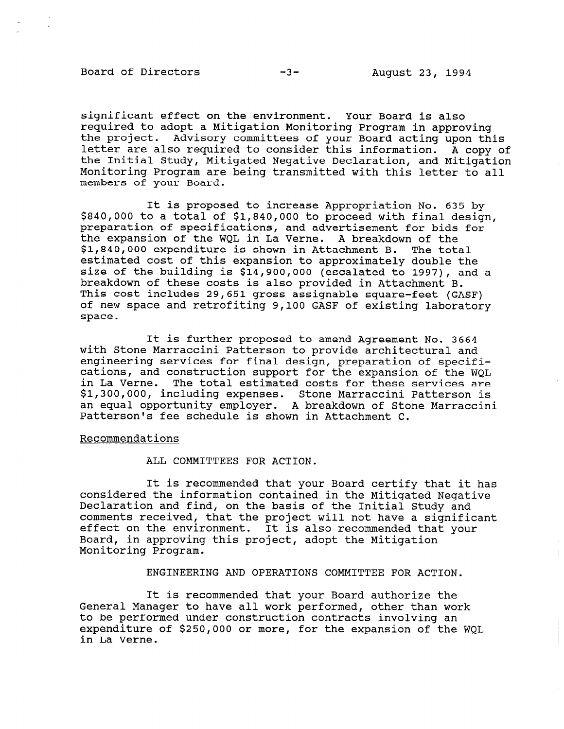$\pm$ 

significant effect on the environment. Your Board is also required to adopt a Mitigation Monitoring Program in approving the project. Advisory committees of your Board acting upon this letter are also required to consider this information. A copy of the Initial Study, Mitigated Negative Declaration, and Mitigation Monitoring Program are being transmitted with this letter to all members of your Board.

It is proposed to increase Appropriation No. 635 by \$840,000 to a total of \$1,840,000 to proceed with final design, preparation of specifications, and advertisement for bids for the expansion of the WQL in La Verne. A breakdown of the \$1,840,000 expenditure is shown in Attachment B. The total estimated cost of this expansion to approximately double the size of the building is \$14,900,000 (escalated to 1997), and a breakdown of these costs is also provided in Attachment B. This cost includes 29,651 gross assignable square-feet (GASF) of new space and retrofiting 9,100 GASF of existing laboratory space.

It is further proposed to amend Agreement No. 3664 with Stone Marraccini Patterson to provide architectural and engineering services for final design, preparation of specifications, and construction support for the expansion of the WQL in La Verne. The total estimated costs for these services are \$1,300,000, including expenses. Stone Marraccini Patterson is an equal opportunity employer. A breakdown of Stone Marraccini Patterson's fee schedule is shown in Attachment C.

#### Recommendations

ALL COMMITTEES FOR ACTION.

It is recommended that your Board certify that it has considered the information contained in the Mitigated Negative Declaration and find, on the basis of the Initial Study and comments received, that the project will not have a significant effect on the environment. It is also recommended that your Board, in approving this project, adopt the Mitigation Monitoring Program.

ENGINEERING AND OPERATIONS COMMITTEE FOR ACTION.

It is recommended that your Board authorize the It is recommended that your board authorize the to be performed under construction contracts involving an to be performed under construction contracts involving an expenditure of \$250,000 or more, for the expansion of the WQL<br>in La Verne.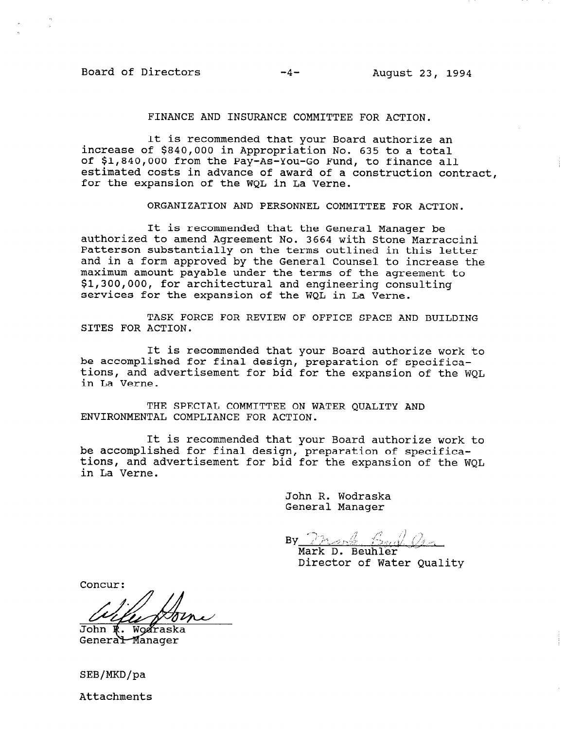## Board of Directors -4- August 23, 1994

#### FINANCE AND INSURANCE COMMITTEE FOR ACTION.

It is recommended that your Board authorize an increase of \$840,000 in Appropriation No. 635 to a total of \$1,840,000 from the Pay-As-You-Go Fund, to finance all estimated costs in advance of award of a construction contract, for the expansion of the WQL in La Verne.

ORGANIZATION AND PERSONNEL COMMITTEE FOR ACTION.

It is recommended that the General Manager be authorized to amend Agreement No. 3664 with Stone Marraccini Patterson substantially on the terms outlined in this letter and in a form approved by the General Counsel to increase the maximum amount payable under the terms of the agreement to \$1,300,000, for architectural and engineering consulting services for the expansion of the WQL in La Verne.

TASK FORCE FOR REVIEW OF OFFICE SPACE AND BUILDING SITES FOR ACTION.

It is recommended that your Board authorize work to be accomplished for final design, preparation of specifications, and advertisement for bid for the expansion of the WQL in La Verne.

THE SPECIAL COMMITTEE ON WATER OUALITY AND ENVIRONMENTAL COMPLIANCE FOR ACTION.

It is recommended that your Board authorize work to be accomplished for final design, preparation of specifications, and advertisement for bid for the expansion of the WOL. in La Verne.

> John R. Wodraska General Manager

 $By$   $2n$  ,  $\frac{1}{2}$   $6$  ,  $\frac{1}{2}$ 

Mark D. Beuhler<br>Director of Water Quality

Concur:

John R. Wodraska<br>Genera<del>l M</del>anager

SEB/MKD/pa

Attachments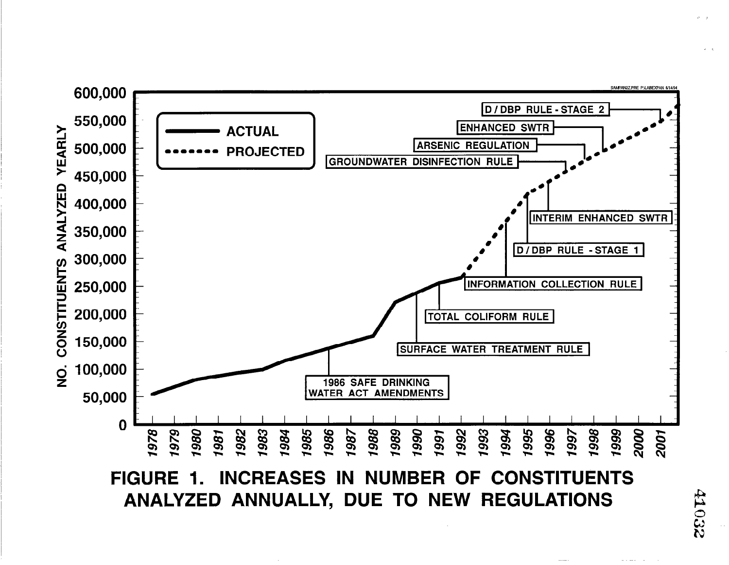

ANALYZED ANNUALLY, DUE TO NEW REGULATIONS

41032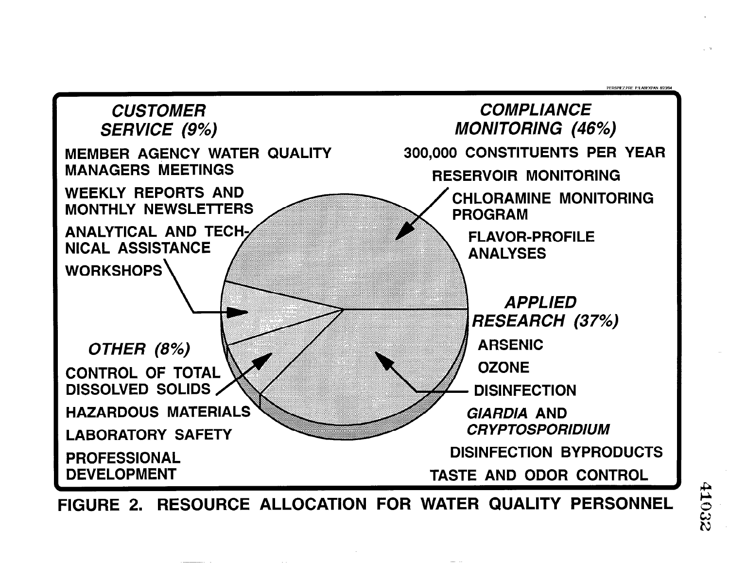

FIGURE 2. RESOURCE ALLOCATION FOR WATER QUALITY PERSONNEL

**DEDSDIEZ DDE DN AREYDAN 8030**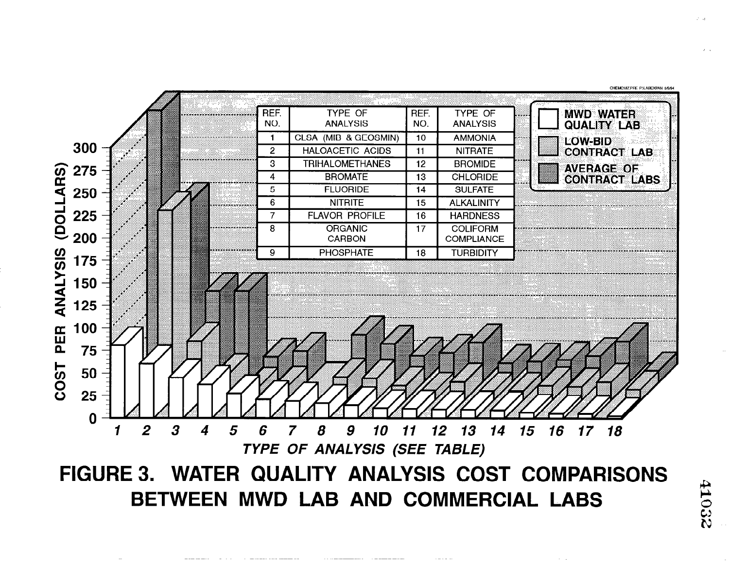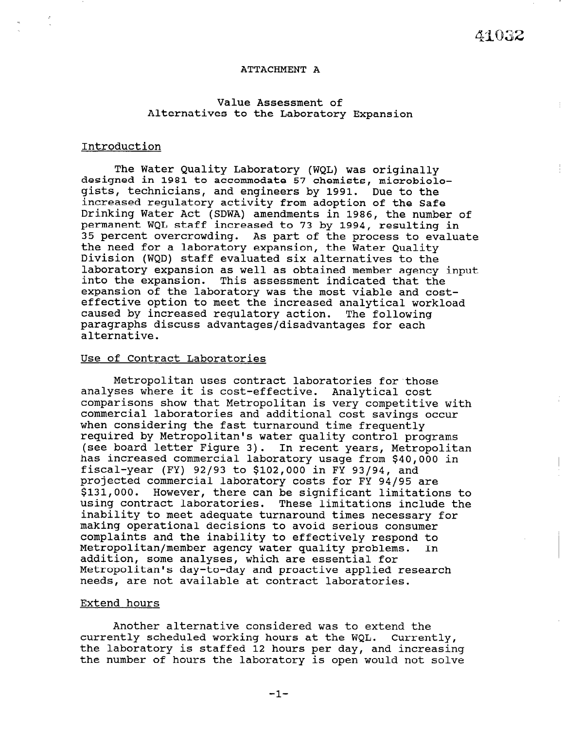#### ATTACHMENT A

### Value Assessment of Alternatives to the Laboratory Expansion

#### Introduction

The Water Quality Laboratory (WQL) was originally designed in 1981 to accommodate 57 chemists, microbiologists, technicians, and engineers by 1991. Due to the increased regulatory activity from adoption of the Safe Drinking Water Act (SDWA) amendments in 1986, the number of permanent WQL staff increased to 73 by 1994, resulting in 35 percent overcrowding. As part of the process to evaluate the need for a laboratory expansion, the Water Quality Division (WQD) staff evaluated six alternatives to the laboratory expansion as well as obtained member agency input into the expansion. This assessment indicated that the expansion of the laboratory was the most viable and costeffective option to meet the increased analytical workload caused by increased regulatory action. The following paragraphs discuss advantages/disadvantages for each alternative.

#### Use of Contract Laboratories

Metropolitan uses contract laboratories for'those analyses where it is cost-effective. Analytical cost comparisons show that Metropolitan is very competitive with commercial laboratories and additional cost savings occur when considering the fast turnaround time frequently required by Metropolitan's water quality control programs (see board letter Figure 3). In recent years, Metropolitan has increased commercial laboratory usage from \$40,000 in fiscal-year (FY) 92/93 to \$102,000 in FY 93/94, and projected commercial laboratory costs for FY 94/95 are \$131,000. However, there can be significant limitations to using contract laboratories. These limitations include the inability to meet adequate turnaround times necessary for making operational decisions to avoid serious consumer making operational decisions to avoid serious consumer complaints and the inability to effectively respond to<br>Metropolitan/member agency water quality problems. In Metropolitan/member agency water quality problems. addition, some analyses, which are essential for Metropolitan's day-to-day and proactive applied research needs, are not available at contract laboratories.

#### Extend hours

Another alternative considered was to extend the currently scheduled working hours at the WQL. Currently, currently scheduled working hours at the won. Currently<br>the laboratory is staffed 12 hours per l the number of hours the laboratory is open would notedsin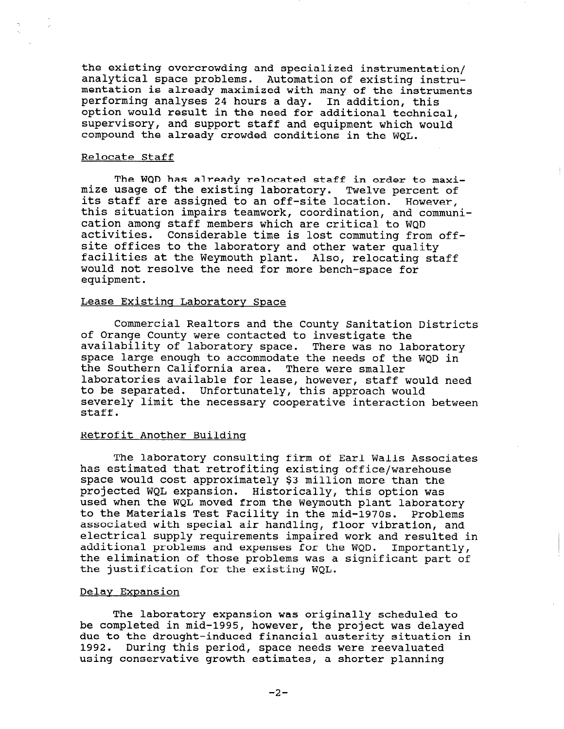the existing overcrowding and specialized instrumentation/ analytical space problems. Automation of existing instrumentation is already maximized with many of the instruments performing analyses 24 hours a day. In addition, thi option would result in the need for additional technic supervisory, and support staff and equipment which would compound the already crowded conditions in the WQL.

#### Relocate Staff

The WQD has already relocated staff in order to maximize usage of the existing laboratory. Twelve percent of its staff are assigned to an off-site location. However, this situation impairs teamwork, coordination, and communication among staff members which are critical to WQD activities. Considerable time is lost commuting from offsite offices to the laboratory and other water quality facilities at the Weymouth plant. Also, relocating staff would not resolve the need for more bench-space for equipment.

## Lease Existing Laboratory Space

Commercial Realtors and the County Sanitation Districts of Orange County were contacted to investigate the availability of laboratory space. There was no laboratory space large enough to accommodate the needs of the WQD in the Southern California area. There were smaller laboratories available for lease, however, staff would need to be separated. Unfortunately, this approach would severely limit the necessary cooperative interaction between staff.

#### Retrofit Another Buildinq

The laboratory consulting firm of Earl Walls Associates has estimated that retrofiting existing office/warehouse space would cost approximately \$3 million more than the projected WQL expansion. Historically, this option was used when the WQL moved from the Weymouth plant laboratory to the Materials Test Facility in the mid-1970s. Problems co the materials lest ratifity in the mid-1970s. Problems associated with special air handling, floor vibration, and additional problems and expenses for the WQD. Importantly, additional problems and expenses for the wgb. Tmportantly, the elimination of those problems was a significant part of the justification for the existing WQL.

## Delav Expansion

The laboratory expansion was originally scheduled to The laboratory expansion was originally scheduled to be completed in mid-1995, however, the project was delayed due to the drought-induced financial austerity situation in 1992. During this period, space needs were reevaluated<br>using conservative growth estimates, a shorter planning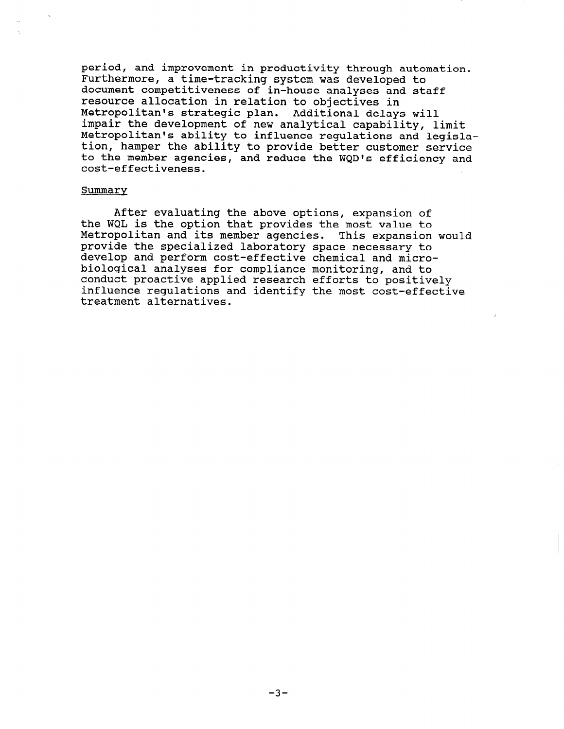period, and improvement in productivity through automation. Furthermore, a time-tracking system was developed to document competitiveness of in-house analyses and staff resource allocation in relation to objectives in Metropolitan's strategic plan. Additional delays will impair the development of new analytical capability, limit Metropolitan's ability to influence regulations and legislation, hamper the ability to provide better customer service to the member agencies, and reduce the WQD's efficiency and cost-effectiveness.

#### Summary

After evaluating the above options, expansion of the WQL is the option that provides the most value to Metropolitan and its member agencies. This expansion would provide the specialized laboratory space necessary to develop and perform cost-effective chemical and microbiological analyses for compliance monitoring, and to conduct proactive applied research efforts to positively influence regulations and identify the most cost-effective treatment alternatives.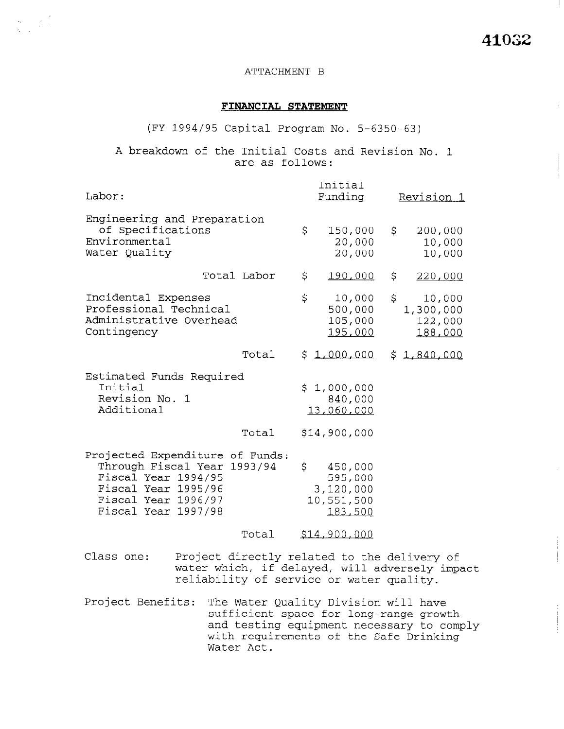$\mathbb{L}$ 

## ATTACHMENT B

## FINANCIAL STATEMENT

(FY 1994/95 Capital Program No. 5-6350-63)

A breakdown of the Initial Costs and Revision No. 1 are as follows:

| Labor:                                                                                                                                             |                                                                                                                                                                                    | Initial<br>Funding                                             | Revision 1                                      |
|----------------------------------------------------------------------------------------------------------------------------------------------------|------------------------------------------------------------------------------------------------------------------------------------------------------------------------------------|----------------------------------------------------------------|-------------------------------------------------|
| Engineering and Preparation<br>of Specifications<br>Environmental<br>Water Quality                                                                 |                                                                                                                                                                                    | \$<br>150,000<br>20,000<br>20,000                              | \$<br>200,000<br>10,000<br>10,000               |
|                                                                                                                                                    | Total Labor                                                                                                                                                                        | \$<br>190,000                                                  | \$<br>220,000                                   |
| Incidental Expenses<br>Professional Technical<br>Administrative Overhead<br>Contingency                                                            |                                                                                                                                                                                    | \$<br>10,000<br>500,000<br>105,000<br>195,000                  | \$<br>10,000<br>1,300,000<br>122,000<br>188,000 |
|                                                                                                                                                    | Total                                                                                                                                                                              | \$1,000,000                                                    | \$1,840,000                                     |
| Estimated Funds Required<br>Initial<br>Revision No. 1<br>Additional                                                                                |                                                                                                                                                                                    | \$1,000,000<br>840,000<br>13,060,000                           |                                                 |
|                                                                                                                                                    | Total                                                                                                                                                                              | \$14,900,000                                                   |                                                 |
| Projected Expenditure of Funds:<br>Through Fiscal Year<br>Fiscal Year 1994/95<br>Fiscal Year 1995/96<br>Fiscal Year 1996/97<br>Fiscal Year 1997/98 | 1993/94                                                                                                                                                                            | \$<br>450,000<br>595,000<br>3,120,000<br>10,551,500<br>183,500 |                                                 |
|                                                                                                                                                    | Total                                                                                                                                                                              | \$14,900,000                                                   |                                                 |
| Class one:                                                                                                                                         | Project directly related to the delivery of<br>water which, if delayed, will adversely impac<br>reliability of service or water quality.                                           |                                                                |                                                 |
| Project Benefits:                                                                                                                                  | The Water Quality Division will have<br>sufficient space for long-range growth<br>and testing equipment necessary to compl<br>with requirements of the Safe Drinking<br>Water Act. |                                                                |                                                 |